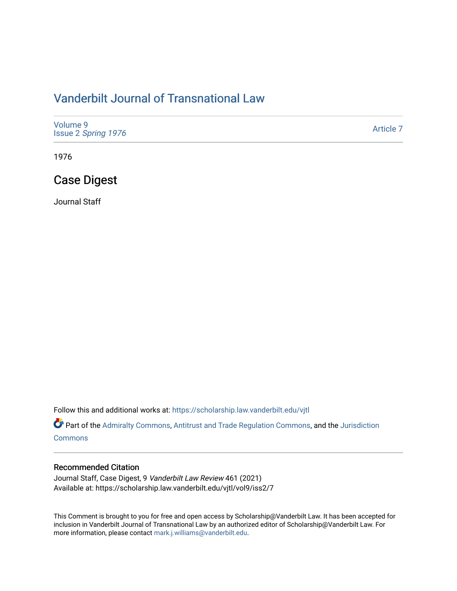# [Vanderbilt Journal of Transnational Law](https://scholarship.law.vanderbilt.edu/vjtl)

| Volume 9<br>Issue 2 Spring 1976 | Article 7 |
|---------------------------------|-----------|
|---------------------------------|-----------|

1976

# Case Digest

Journal Staff

Follow this and additional works at: [https://scholarship.law.vanderbilt.edu/vjtl](https://scholarship.law.vanderbilt.edu/vjtl?utm_source=scholarship.law.vanderbilt.edu%2Fvjtl%2Fvol9%2Fiss2%2F7&utm_medium=PDF&utm_campaign=PDFCoverPages) 

Part of the [Admiralty Commons](https://network.bepress.com/hgg/discipline/580?utm_source=scholarship.law.vanderbilt.edu%2Fvjtl%2Fvol9%2Fiss2%2F7&utm_medium=PDF&utm_campaign=PDFCoverPages), [Antitrust and Trade Regulation Commons](https://network.bepress.com/hgg/discipline/911?utm_source=scholarship.law.vanderbilt.edu%2Fvjtl%2Fvol9%2Fiss2%2F7&utm_medium=PDF&utm_campaign=PDFCoverPages), and the [Jurisdiction](https://network.bepress.com/hgg/discipline/850?utm_source=scholarship.law.vanderbilt.edu%2Fvjtl%2Fvol9%2Fiss2%2F7&utm_medium=PDF&utm_campaign=PDFCoverPages) **[Commons](https://network.bepress.com/hgg/discipline/850?utm_source=scholarship.law.vanderbilt.edu%2Fvjtl%2Fvol9%2Fiss2%2F7&utm_medium=PDF&utm_campaign=PDFCoverPages)** 

#### Recommended Citation

Journal Staff, Case Digest, 9 Vanderbilt Law Review 461 (2021) Available at: https://scholarship.law.vanderbilt.edu/vjtl/vol9/iss2/7

This Comment is brought to you for free and open access by Scholarship@Vanderbilt Law. It has been accepted for inclusion in Vanderbilt Journal of Transnational Law by an authorized editor of Scholarship@Vanderbilt Law. For more information, please contact [mark.j.williams@vanderbilt.edu](mailto:mark.j.williams@vanderbilt.edu).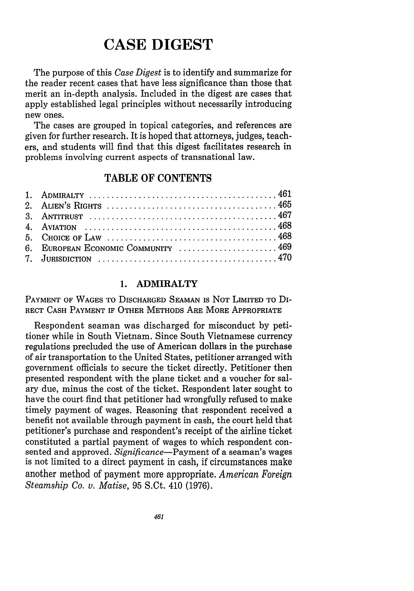# **CASE DIGEST**

The purpose of this *Case Digest* is to identify and summarize for the reader recent cases that have less significance than those that merit an in-depth analysis. Included in the digest are cases that apply established legal principles without necessarily introducing new ones.

The cases are grouped in topical categories, and references are given for further research. It is hoped that attorneys, judges, teachers, and students will find that this digest facilitates research in problems involving current aspects of transnational law.

# TABLE OF CONTENTS

| 6. EUROPEAN ECONOMIC COMMUNITY  469                                                                              |  |
|------------------------------------------------------------------------------------------------------------------|--|
| 7. JURISDICTION $\ldots \ldots \ldots \ldots \ldots \ldots \ldots \ldots \ldots \ldots \ldots \ldots \ldots 470$ |  |

#### **1.** ADMIRALTY

PAYMENT OF **WAGES** TO DISCHARGED **SEAMAN IS NOT** LIMITED TO **DI-**RECT **CASH** PAYMENT IF OTHER METHODS ARE MORE APPROPRIATE

Respondent seaman was discharged for misconduct by petitioner while in South Vietnam. Since South Vietnamese currency regulations precluded the use of American dollars in the purchase of air transportation to the United States, petitioner arranged with government officials to secure the ticket directly. Petitioner then presented respondent with the plane ticket and a voucher for salary due, minus the cost of the ticket. Respondent later sought to have the court find that petitioner had wrongfully refused to make timely payment of wages. Reasoning that respondent received a benefit not available through payment in cash, the court held that petitioner's purchase and respondent's receipt of the airline ticket constituted a partial payment of wages to which respondent consented and approved. *Significance-Payment* of a seaman's wages is not limited to a direct payment in cash, if circumstances make another method of payment more appropriate. *American Foreign Steamship Co. v. Matise,* 95 S.Ct. 410 (1976).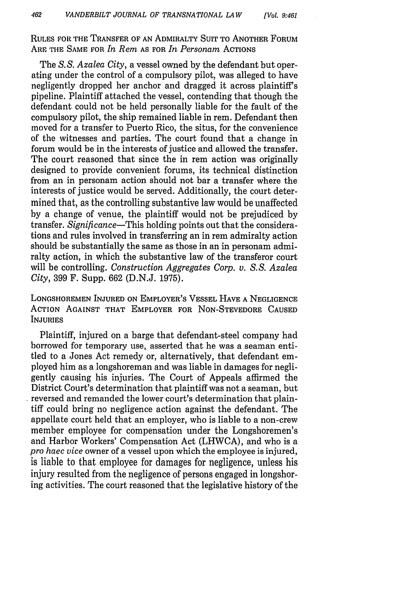**RULES** FOR THE TRANSFER OF **AN** ADMIRALTY **SUIT** TO ANOTHER FORUM ARE THE **SAME** FOR *In Rem* **AS** FOR *In Personam* ACTIONS

The *S. S. Azalea City,* a vessel owned by the defendant but operating under the control of a compulsory pilot, was alleged to have negligently dropped her anchor and dragged it across plaintiff's pipeline. Plaintiff attached the vessel, contending that though the defendant could not be held personally liable for the fault of the compulsory pilot, the ship remained liable in rem. Defendant then moved for a transfer to Puerto Rico, the situs, for the convenience of the witnesses and parties. The court found that a change in forum would be in the interests of justice and allowed the transfer. The court reasoned that since the in rem action was originally designed to provide convenient forums, its technical distinction from an in personam action should not bar a transfer where the interests of justice would be served. Additionally, the court determined that, as the controlling substantive law would be unaffected by a change of venue, the plaintiff would not be prejudiced by transfer. *Significance-This* holding points out that the considerations and rules involved in transferring an in rem admiralty action should be substantially the same as those in an in personam admiralty action, in which the substantive law of the transferor court will be controlling. *Construction Aggregates Corp. v. S.S. Azalea City,* 399 F. Supp. 662 (D.N.J. 1975).

**LONGSHOREMEN INJURED ON** EMPLOYER'S **VESSEL HAVE A NEGLIGENCE** ACTION **AGAINST** THAT EMPLOYER FOR **NON-STEVEDORE CAUSED INJURIES**

Plaintiff, injured on a barge that defendant-steel company had borrowed for temporary use, asserted that he was a seaman entitled to a Jones Act remedy or, alternatively, that defendant employed him as a longshoreman and was liable in damages for negligently causing his injuries. The Court of Appeals affirmed the District Court's determination that plaintiff was not a seaman, but reversed and remanded the lower court's determination that plaintiff could bring no negligence action against the defendant. The appellate court held that an employer, who is liable to a non-crew member employee for compensation under the Longshoremen's and Harbor Workers' Compensation Act (LHWCA), and who is a *pro haec vice* owner of a vessel upon which the employee is injured, is liable to that employee for damages for negligence, unless his injury resulted from the negligence of persons engaged in longshoring activities. The court reasoned that the legislative history of the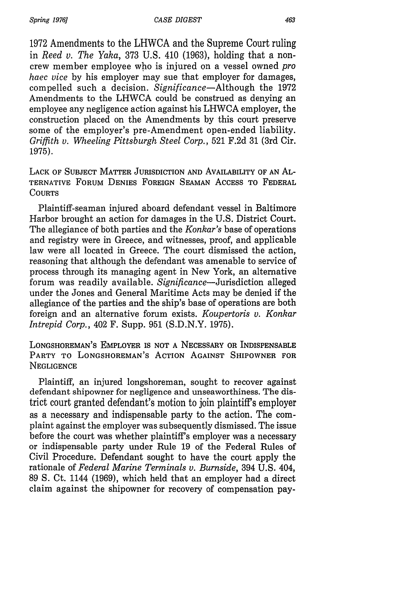*Spring 1976]*

1972 Amendments to the LHWCA and the Supreme Court ruling in *Reed v. The Yaka,* 373 U.S. 410 (1963), holding that a noncrew member employee who is injured on a vessel owned *pro haec vice* by his employer may sue that employer for damages, compelled such a decision. *Significance-Although* the 1972 Amendments to the LHWCA could be construed as denying an employee any negligence action against his LHWCA employer, the construction placed on the Amendments by this court preserve some of the employer's pre-Amendment open-ended liability. *Griffith v. Wheeling Pittsburgh Steel Corp.,* 521 F.2d 31 (3rd Cir. 1975).

LACK OF SUBJECT MATTER JURISDICTION AND AVAILABILITY OF AN AL-TERNATIVE FORUM DENIES FOREIGN SEAMAN ACCESS TO FEDERAL **COURTS** 

Plaintiff-seaman injured aboard defendant vessel in Baltimore Harbor brought an action for damages in the U.S. District Court. The allegiance of both parties and the *Konkar's* base of operations and registry were in Greece, and witnesses, proof, and applicable law were all located in Greece. The court dismissed the action, reasoning that although the defendant was amenable to service of process through its managing agent in New York, an alternative forum was readily available. Significance-Jurisdiction alleged under the Jones and General Maritime Acts may be denied if the allegiance of the parties and the ship's base of operations are both foreign and an alternative forum exists. *Koupertoris v. Konkar Intrepid Corp.,* 402 F. Supp. 951 (S.D.N.Y. 1975).

LONGSHOREMAN'S EMPLOYER IS NOT A NECESSARY OR INDISPENSABLE PARTY TO LONGSHOREMAN'S ACTION AGAINST SHIPOWNER FOR **NEGLIGENCE** 

Plaintiff, an injured longshoreman, sought to recover against defendant shipowner for negligence and unseaworthiness. The district court granted defendant's motion to join plaintiffs employer as a necessary and indispensable party to the action. The complaint against the employer was subsequently dismissed. The issue before the court was whether plaintiff's employer was a necessary or indispensable party under Rule 19 of the Federal Rules of Civil Procedure. Defendant sought to have the court apply the rationale of *Federal Marine Terminals v. Burnside,* 394 U.S. 404, 89 **S.** Ct. 1144 (1969), which held that an employer had a direct claim against the shipowner for recovery of compensation pay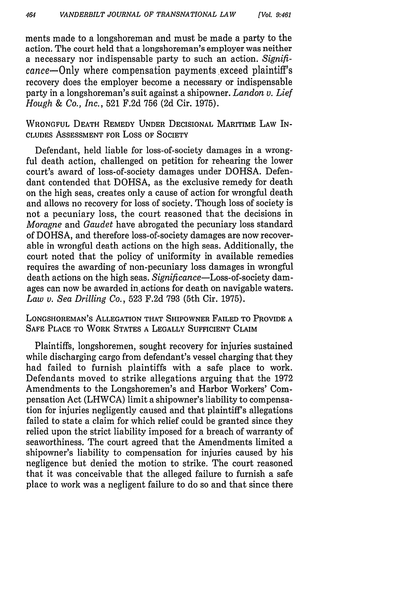ments made to a longshoreman and must be made a party to the action. The court held that a longshoreman's employer was neither a necessary nor indispensable party to such an action. *Signifi*cance-Only where compensation payments exceed plaintiff's recovery does the employer become a necessary or indispensable party in a longshoreman's suit against a shipowner. *Landon v. Lief Hough & Co., Inc.,* 521 F.2d 756 (2d Cir. 1975).

WRONGFUL DEATH REMEDY UNDER DECISIONAL MARITIME LAW IN-CLUDES ASSESSMENT FOR Loss OF SOCIETY

Defendant, held liable for loss-of-society damages in a wrongful death action, challenged on petition for rehearing the lower court's award of loss-of-society damages under DOHSA. Defendant contended that DOHSA, as the exclusive remedy for death on the high seas, creates only a cause of action for wrongful death and allows no recovery for loss of society. Though loss of society is not a pecuniary loss, the court reasoned that the decisions in *Moragne* and *Gaudet* have abrogated the pecuniary loss standard of DOHSA, and therefore loss-of-society damages are now recoverable in wrongful death actions on the high seas. Additionally, the court noted that the policy of uniformity in available remedies requires the awarding of non-pecuniary loss damages in wrongful death actions on the high seas. *Significance-Loss-of-society* damages can now be awarded in.actions for death on navigable waters. *Law v. Sea Drilling Co.,* 523 F.2d 793 (5th Cir. 1975).

LONGSHOREMAN'S ALLEGATION THAT SHIPOWNER FAILED TO PROVIDE A SAFE PLACE TO WORK STATES A LEGALLY SUFFICIENT CLAIM

Plaintiffs, longshoremen, sought recovery for injuries sustained while discharging cargo from defendant's vessel charging that they had failed to furnish plaintiffs with a safe place to work. Defendants moved to strike allegations arguing that the 1972 Amendments to the Longshoremen's and Harbor Workers' Compensation Act (LHWCA) limit a shipowner's liability to compensation for injuries negligently caused and that plaintiff's allegations failed to state a claim for which relief could be granted since they relied upon the strict liability imposed for a breach of warranty of seaworthiness. The court agreed that the Amendments limited a shipowner's liability to compensation for injuries caused by his negligence but denied the motion to strike. The court reasoned that it was conceivable that the alleged failure to furnish a safe place to work was a negligent failure to do so and that since there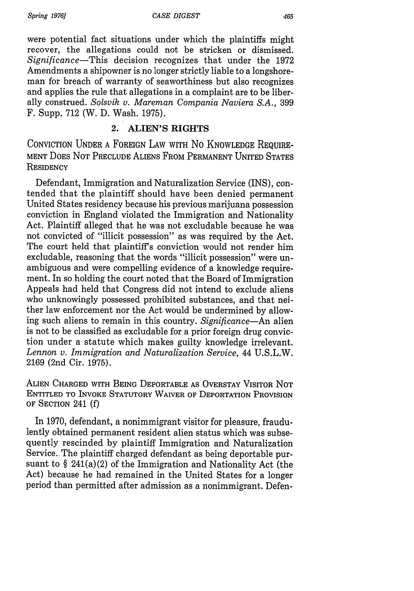were potential fact situations under which the plaintiffs might recover, the allegations could not be stricken or dismissed. *Significance-This* decision recognizes that under the 1972 Amendments a shipowner is no longer strictly liable to a longshoreman for breach of warranty of seaworthiness but also recognizes and applies the rule that allegations in a complaint are to be liberally construed. *Solsvik v. Mareman Compania Naviera S.A.,* 399 F. Supp. 712 (W. D. Wash. 1975).

## 2. ALIEN'S RIGHTS

CONVICTION UNDER A FOREIGN LAW WITH No KNOWLEDGE REQUIRE-MENT DOES NOT PRECLUDE ALIENS FROM PERMANENT UNITED STATES **RESIDENCY** 

Defendant, Immigration and Naturalization Service (INS), contended that the plaintiff should have been denied permanent United States residency because his previous marijuana possession conviction in England violated the Immigration and Nationality Act. Plaintiff alleged that he was not excludable because he was not convicted of "illicit possession" as was required by the Act. The court held that plaintiffs conviction would not render him excludable, reasoning that the words "illicit possession" were unambiguous and were compelling evidence of a knowledge requirement. In so holding the court noted that the Board of Immigration Appeals had held that Congress did not intend to exclude aliens who unknowingly possessed prohibited substances, and that neither law enforcement nor the Act would be undermined by allowing such aliens to remain in this country. *Significance-An* alien is not to be classified as excludable for a prior foreign drug conviction under a statute which makes guilty knowledge irrelevant. *Lennon v. Immigration and Naturalization Service,* 44 U.S.L.W. 2169 (2nd Cir. 1975).

ALIEN CHARGED WITH **BEING** DEPORTABLE **AS** OVERSTAY VISITOR **NOT** ENTITLED TO INVOKE STATUTORY WAIVER OF DEPORTATION PROVISION OF **SECTION** 241 (f)

In 1970, defendant, a nonimmigrant visitor for pleasure, fraudulently obtained permanent resident alien status which was subsequently rescinded by plaintiff Immigration and Naturalization Service.. The plaintiff charged defendant as being deportable pursuant to  $\S 241(a)(2)$  of the Immigration and Nationality Act (the Act) because he had remained in the United States for a longer period than permitted after admission as a nonimmigrant. Defen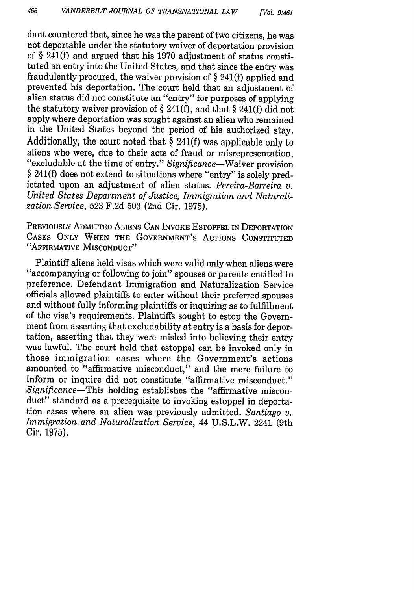dant countered that, since he was the parent of two citizens, he was not deportable under the statutory waiver of deportation provision of § 241(f) and argued that his 1970 adjustment of status constituted an entry into the United States, and that since the entry was fraudulently procured, the waiver provision of § 241(f) applied and prevented his deportation. The court held that an adjustment of alien status did not constitute an "entry" for purposes of applying the statutory waiver provision of § 241(f), and that § 241(f) did not apply where deportation was sought against an alien who remained in the United States beyond the period of his authorized stay. Additionally, the court noted that § 241(f) was applicable only to aliens who were, due to their acts of fraud or misrepresentation, "excludable at the time of entry." *Significance-Waiver* provision § 241(f) does not extend to situations where "entry" is solely predictated upon an adjustment of alien status. *Pereira-Barreira v. United States Department of Justice, Immigration and Naturalization Service,* 523 F.2d 503 (2nd Cir. 1975).

PREVIOUSLY ADMITTED ALIENS **CAN** INVOKE ESTOPPEL IN DEPORTATION **CASES** ONLY WHEN THE GOVERNMENT'S ACTIONS CONSTITUTED "AFFIRMATIVE MISCONDUCT"

Plaintiff aliens held visas which were valid only when aliens were ''accompanying or following to join" spouses or parents entitled to preference. Defendant Immigration and Naturalization Service officials allowed plaintiffs to enter without their preferred spouses and without fully informing plaintiffs or inquiring as to fulfillment of the visa's requirements. Plaintiffs sought to estop the Government from asserting that excludability at entry is a basis for deportation, asserting that they were misled into believing their entry was lawful. The court held that estoppel can be invoked only in those immigration cases where the Government's actions amounted to "affirmative misconduct," and the mere failure to inform or inquire did not constitute "affirmative misconduct." *Significance-This* holding establishes the "affirmative misconduct" standard as a prerequisite to invoking estoppel in deportation cases where an alien was previously admitted. *Santiago v. Immigration and Naturalization Service,* 44 U.S.L.W. 2241 (9th Cir, 1975).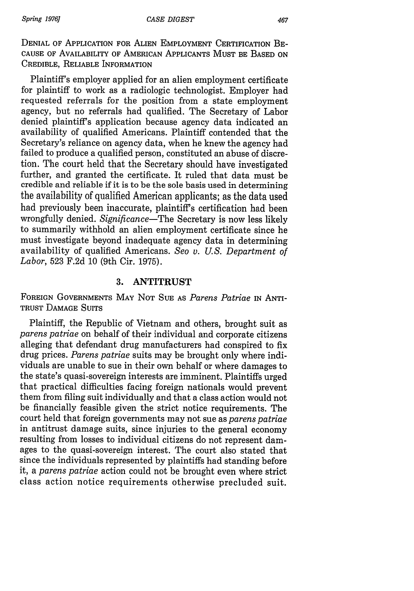DENIAL OF APPLICATION FOR ALIEN EMPLOYMENT CERTIFICATION BE-CAUSE OF AVAILABILITY OF AMERICAN APPLICANTS MUST BE BASED ON CREDIBLE, RELIABLE INFORMATION

Plaintiff's employer applied for an alien employment certificate for plaintiff to work as a radiologic technologist. Employer had requested referrals for the position from a state employment agency, but no referrals had qualified. The Secretary of Labor denied plaintiff's application because agency data indicated an availability of qualified Americans. Plaintiff contended that the Secretary's reliance on agency data, when he knew the agency had failed to produce a qualified person, constituted an abuse of discretion. The court held that the Secretary should have investigated further, and granted the certificate. It ruled that data must be credible and reliable if it is to be the sole basis used in determining the availability of qualified American applicants; as the data used had previously been inaccurate, plaintiffs certification had been wrongfully denied. *Significance-The* Secretary is now less likely to summarily withhold an alien employment certificate since he must investigate beyond inadequate agency data in determining availability of qualified Americans. *Seo v. U.S. Department of Labor,* 523 F.2d 10 (9th Cir. 1975).

### **3. ANTITRUST**

FOREIGN GOVERNMENTS MAY NOT SUE AS *Parens Patriae* IN ANTI-TRUST DAMAGE SUITS

Plaintiff, the Republic of Vietnam and others, brought suit as *parens patriae* on behalf of their individual and corporate citizens alleging that defendant drug manufacturers had conspired to fix drug prices. *Parens patriae* suits may be brought only where individuals are unable to sue in their own behalf or where damages to the state's quasi-sovereign interests are imminent. Plaintiffs urged that practical difficulties facing foreign nationals would prevent them from filing suit individually and that a class action would not be financially feasible given the strict notice requirements. The court held that foreign governments may not sue as *parens patriae* in antitrust damage suits, since injuries to the general economy resulting from losses to individual citizens do not represent damages to the quasi-sovereign interest. The court also stated that since the individuals represented by plaintiffs had standing before it, a *parens patriae* action could not be brought even where strict class action notice requirements otherwise precluded suit.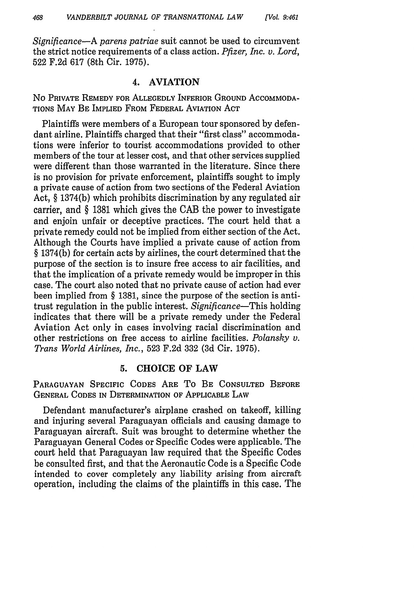*Significance-A parens patriae* suit cannot be used to circumvent the strict notice requirements of a class action. *Pfizer, Inc. v. Lord,* 522 F.2d 617 (8th Cir. 1975).

#### 4. **AVIATION**

No PRIVATE REMEDY FOR ALLEGEDLY INFERIOR GROUND ACCOMMODA-TIONS MAY BE IMPLIED FROM FEDERAL AVIATION ACT

Plaintiffs were members of a European tour sponsored by defendant airline. Plaintiffs charged that their "first class" accommodations were inferior to tourist accommodations provided to other members of the tour at lesser cost, and that other services supplied were different than those warranted in the literature. Since there is no provision for private enforcement, plaintiffs sought to imply a private cause of action from two sections of the Federal Aviation Act, § 1374(b) which prohibits discrimination by any regulated air carrier, and § 1381 which gives the CAB the power to investigate and enjoin unfair or deceptive practices. The court held that a private remedy could not be implied from either section of the Act. Although the Courts have implied a private cause of action from § 1374(b) for certain acts by airlines, the court determined that the purpose of the section is to insure free access to air facilities, and that the implication of a private remedy would be improper in this case. The court also noted that no private cause of action had ever been implied from § 1381, since the purpose of the section is antitrust regulation in the public interest. *Significance-This* holding indicates that there will be a private remedy under the Federal Aviation Act only in cases involving racial discrimination and other restrictions on free access to airline facilities. *Polansky v. Trans World Airlines, Inc.,* 523 F.2d 332 (3d Cir. 1975).

### **5. CHOICE OF LAW**

**PARAGUAYAN** SPECIFIC CODES ARE To BE CONSULTED BEFORE GENERAL CODES IN DETERMINATION OF APPLICABLE LAW

Defendant manufacturer's airplane crashed on takeoff, killing and injuring several Paraguayan officials and causing damage to Paraguayan aircraft. Suit was brought to determine whether the Paraguayan General Codes or Specific Codes were applicable. The court held that Paraguayan law required that the Specific Codes be consulted first, and that the Aeronautic Code is a Specific Code intended to cover completely any liability arising from aircraft operation, including the claims of the plaintiffs in this case. The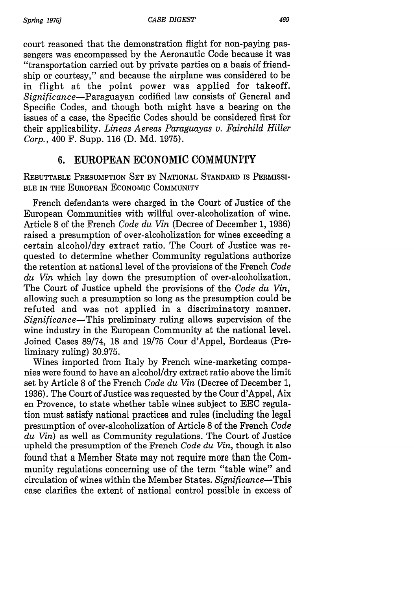court reasoned that the demonstration flight for non-paying passengers was encompassed by the Aeronautic Code because it was "transportation carried out by private parties on a basis of friendship or courtesy," and because the airplane was considered to be in flight at the point power was applied for takeoff. *Significance-Paraguayan* codified law consists of General and Specific Codes, and though both might have a bearing on the issues of a case, the Specific Codes should be considered first for their applicability. *Lineas Aereas Paraguayas v. Fairchild Hiller Corp.,* 400 F. Supp. 116 (D. Md. 1975).

# **6. EUROPEAN** ECONOMIC **COMMUNITY**

REBUTTABLE PRESUMPTION SET **BY** NATIONAL STANDARD **IS** PERMISSI-**BLE IN** THE EUROPEAN ECONOMIC COMMUNITY

French defendants were charged in the Court of Justice of the European Communities with willful over-alcoholization of wine. Article 8 of the French *Code du Vin* (Decree of December 1, 1936) raised a presumption of over-alcoholization for wines exceeding a certain alcohol/dry extract ratio. The Court of Justice was requested to determine whether Community regulations authorize the retention at national level of the provisions of the French *Code du Vin* which lay down the presumption of over-alcoholization. The Court of Justice upheld the provisions of the *Code du Vin,* allowing such a presumption so long as the presumption could be refuted and was not applied in a discriminatory manner. *Significance-This* preliminary ruling allows supervision of the wine industry in the European Community at the national level. Joined Cases 89/74, 18 and 19/75 Cour d'Appel, Bordeaus (Preliminary ruling) 30.975.

Wines imported from Italy by French wine-marketing companies were found to have an alcohol/dry extract ratio above the limit set by Article 8 of the French *Code du Vin* (Decree of December 1, 1936). The Court of Justice was requested by the Cour d'Appel, Aix en Provence, to state whether table wines subject to EEC regulation must satisfy national practices and rules (including the legal presumption of over-alcoholization of Article 8 of the French *Code du Vin)* as well as Community regulations. The Court of Justice upheld the presumption of the French *Code du Vin,* though it also found that a Member State may not require more than the Community regulations concerning use of the term "table wine" and circulation of wines within the Member States. *Significance-This* case clarifies the extent of national control possible in excess of